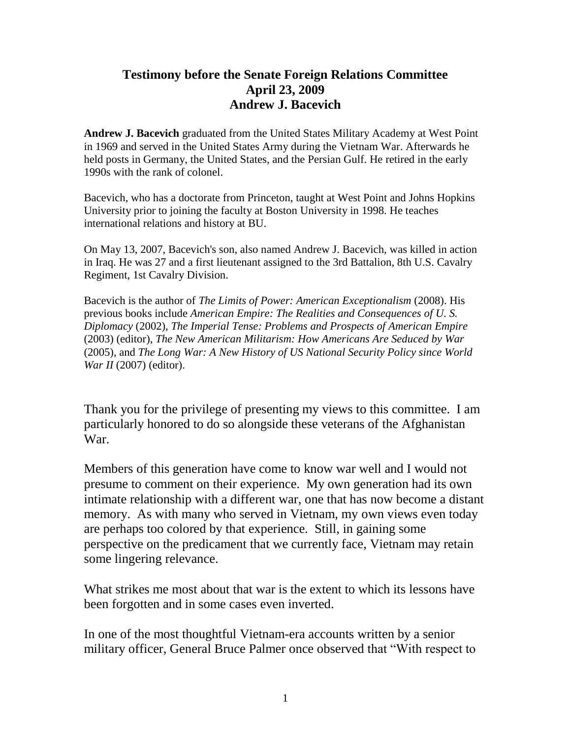## **Testimony before the Senate Foreign Relations Committee April 23, 2009 Andrew J. Bacevich**

**Andrew J. Bacevich** graduated from the United States Military Academy at West Point in 1969 and served in the United States Army during the Vietnam War. Afterwards he held posts in Germany, the United States, and the Persian Gulf. He retired in the early 1990s with the rank of colonel.

Bacevich, who has a doctorate from Princeton, taught at West Point and Johns Hopkins University prior to joining the faculty at Boston University in 1998. He teaches international relations and history at BU.

On May 13, 2007, Bacevich's son, also named Andrew J. Bacevich, was killed in action in Iraq. He was 27 and a first lieutenant assigned to the 3rd Battalion, 8th U.S. Cavalry Regiment, 1st Cavalry Division.

Bacevich is the author of *The Limits of Power: American Exceptionalism* (2008). His previous books include *American Empire: The Realities and Consequences of U. S. Diplomacy* (2002), *The Imperial Tense: Problems and Prospects of American Empire* (2003) (editor), *The New American Militarism: How Americans Are Seduced by War* (2005), and *The Long War: A New History of US National Security Policy since World War II* (2007) (editor).

Thank you for the privilege of presenting my views to this committee. I am particularly honored to do so alongside these veterans of the Afghanistan War.

Members of this generation have come to know war well and I would not presume to comment on their experience. My own generation had its own intimate relationship with a different war, one that has now become a distant memory. As with many who served in Vietnam, my own views even today are perhaps too colored by that experience. Still, in gaining some perspective on the predicament that we currently face, Vietnam may retain some lingering relevance.

What strikes me most about that war is the extent to which its lessons have been forgotten and in some cases even inverted.

In one of the most thoughtful Vietnam-era accounts written by a senior military officer, General Bruce Palmer once observed that "With respect to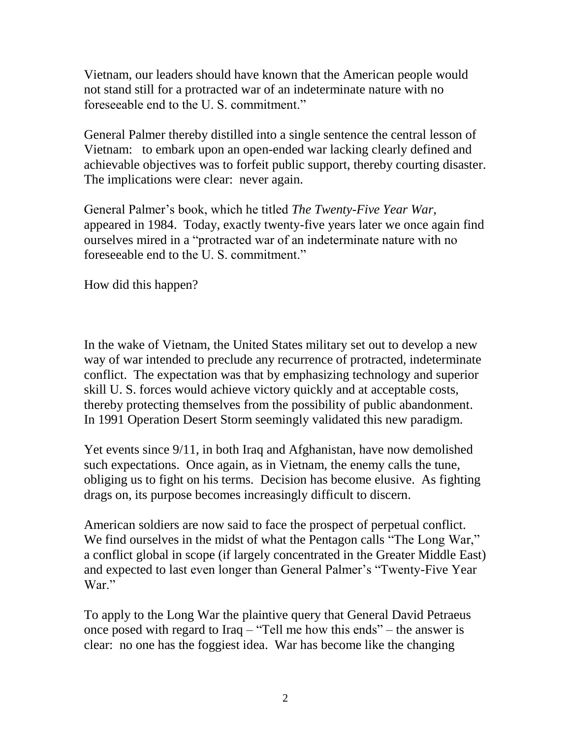Vietnam, our leaders should have known that the American people would not stand still for a protracted war of an indeterminate nature with no foreseeable end to the U. S. commitment."

General Palmer thereby distilled into a single sentence the central lesson of Vietnam: to embark upon an open-ended war lacking clearly defined and achievable objectives was to forfeit public support, thereby courting disaster. The implications were clear: never again.

General Palmer's book, which he titled *The Twenty-Five Year War,*  appeared in 1984. Today, exactly twenty-five years later we once again find ourselves mired in a "protracted war of an indeterminate nature with no foreseeable end to the U. S. commitment."

How did this happen?

In the wake of Vietnam, the United States military set out to develop a new way of war intended to preclude any recurrence of protracted, indeterminate conflict. The expectation was that by emphasizing technology and superior skill U. S. forces would achieve victory quickly and at acceptable costs, thereby protecting themselves from the possibility of public abandonment. In 1991 Operation Desert Storm seemingly validated this new paradigm.

Yet events since 9/11, in both Iraq and Afghanistan, have now demolished such expectations. Once again, as in Vietnam, the enemy calls the tune, obliging us to fight on his terms. Decision has become elusive. As fighting drags on, its purpose becomes increasingly difficult to discern.

American soldiers are now said to face the prospect of perpetual conflict. We find ourselves in the midst of what the Pentagon calls "The Long War," a conflict global in scope (if largely concentrated in the Greater Middle East) and expected to last even longer than General Palmer's "Twenty-Five Year War."

To apply to the Long War the plaintive query that General David Petraeus once posed with regard to Iraq – "Tell me how this ends" – the answer is clear: no one has the foggiest idea. War has become like the changing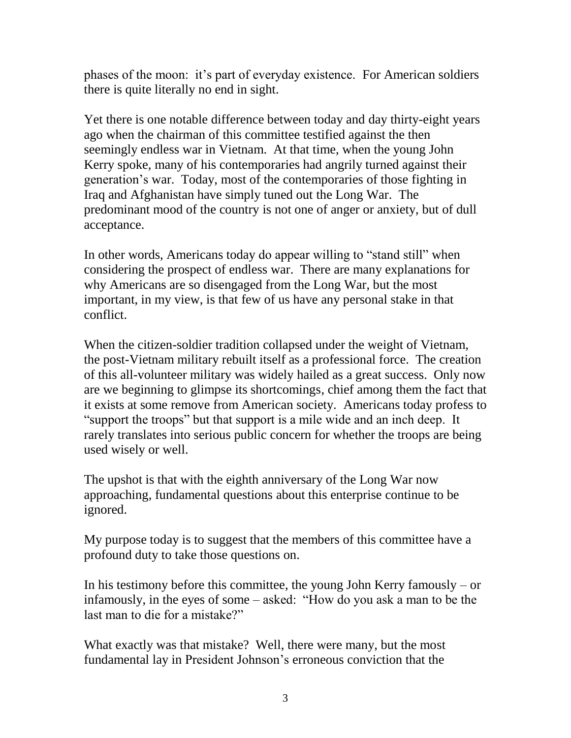phases of the moon: it's part of everyday existence. For American soldiers there is quite literally no end in sight.

Yet there is one notable difference between today and day thirty-eight years ago when the chairman of this committee testified against the then seemingly endless war in Vietnam. At that time, when the young John Kerry spoke, many of his contemporaries had angrily turned against their generation's war. Today, most of the contemporaries of those fighting in Iraq and Afghanistan have simply tuned out the Long War. The predominant mood of the country is not one of anger or anxiety, but of dull acceptance.

In other words, Americans today do appear willing to "stand still" when considering the prospect of endless war. There are many explanations for why Americans are so disengaged from the Long War, but the most important, in my view, is that few of us have any personal stake in that conflict.

When the citizen-soldier tradition collapsed under the weight of Vietnam, the post-Vietnam military rebuilt itself as a professional force. The creation of this all-volunteer military was widely hailed as a great success. Only now are we beginning to glimpse its shortcomings, chief among them the fact that it exists at some remove from American society. Americans today profess to "support the troops" but that support is a mile wide and an inch deep. It rarely translates into serious public concern for whether the troops are being used wisely or well.

The upshot is that with the eighth anniversary of the Long War now approaching, fundamental questions about this enterprise continue to be ignored.

My purpose today is to suggest that the members of this committee have a profound duty to take those questions on.

In his testimony before this committee, the young John Kerry famously – or infamously, in the eyes of some – asked: "How do you ask a man to be the last man to die for a mistake?"

What exactly was that mistake? Well, there were many, but the most fundamental lay in President Johnson's erroneous conviction that the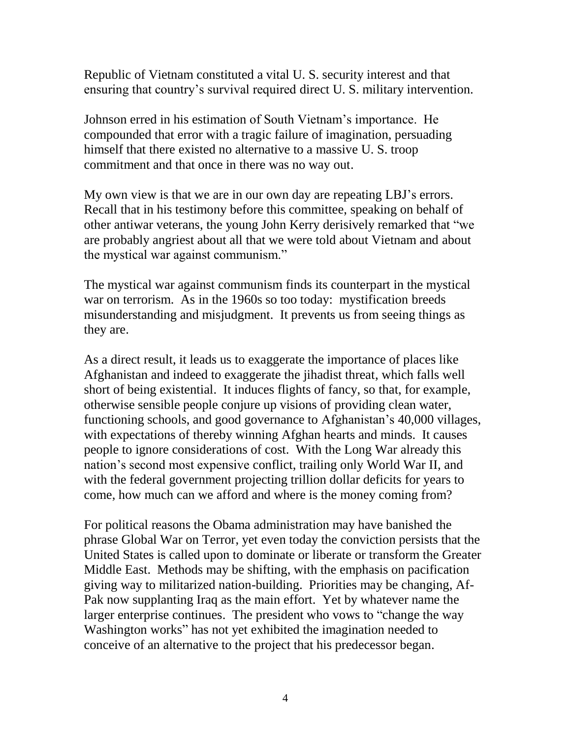Republic of Vietnam constituted a vital U. S. security interest and that ensuring that country's survival required direct U. S. military intervention.

Johnson erred in his estimation of South Vietnam's importance. He compounded that error with a tragic failure of imagination, persuading himself that there existed no alternative to a massive U. S. troop commitment and that once in there was no way out.

My own view is that we are in our own day are repeating LBJ's errors. Recall that in his testimony before this committee, speaking on behalf of other antiwar veterans, the young John Kerry derisively remarked that "we are probably angriest about all that we were told about Vietnam and about the mystical war against communism."

The mystical war against communism finds its counterpart in the mystical war on terrorism. As in the 1960s so too today: mystification breeds misunderstanding and misjudgment. It prevents us from seeing things as they are.

As a direct result, it leads us to exaggerate the importance of places like Afghanistan and indeed to exaggerate the jihadist threat, which falls well short of being existential. It induces flights of fancy, so that, for example, otherwise sensible people conjure up visions of providing clean water, functioning schools, and good governance to Afghanistan's 40,000 villages, with expectations of thereby winning Afghan hearts and minds. It causes people to ignore considerations of cost. With the Long War already this nation's second most expensive conflict, trailing only World War II, and with the federal government projecting trillion dollar deficits for years to come, how much can we afford and where is the money coming from?

For political reasons the Obama administration may have banished the phrase Global War on Terror, yet even today the conviction persists that the United States is called upon to dominate or liberate or transform the Greater Middle East. Methods may be shifting, with the emphasis on pacification giving way to militarized nation-building. Priorities may be changing, Af-Pak now supplanting Iraq as the main effort. Yet by whatever name the larger enterprise continues. The president who vows to "change the way Washington works" has not yet exhibited the imagination needed to conceive of an alternative to the project that his predecessor began.